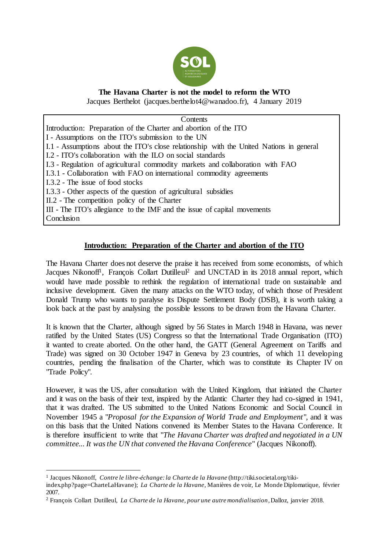

# **The Havana Charter is not the model to reform the WTO**

Jacques Berthelot (jacques.berthelot4@wanadoo.fr), 4 January 2019

**Contents** Introduction: Preparation of the Charter and abortion of the ITO I - Assumptions on the ITO's submission to the UN I.1 - Assumptions about the ITO's close relationship with the United Nations in general I.2 - ITO's collaboration with the ILO on social standards I.3 - Regulation of agricultural commodity markets and collaboration with FAO I.3.1 - Collaboration with FAO on international commodity agreements I.3.2 - The issue of food stocks I.3.3 - Other aspects of the question of agricultural subsidies II.2 - The competition policy of the Charter III - The ITO's allegiance to the IMF and the issue of capital movements **Conclusion** 

## **Introduction: Preparation of the Charter and abortion of the ITO**

The Havana Charter does not deserve the praise it has received from some economists, of which Jacques Nikonoff<sup>1</sup>, François Collart Dutilleul<sup>2</sup> and UNCTAD in its 2018 annual report, which would have made possible to rethink the regulation of international trade on sustainable and inclusive development. Given the many attacks on the WTO today, of which those of President Donald Trump who wants to paralyse its Dispute Settlement Body (DSB), it is worth taking a look back at the past by analysing the possible lessons to be drawn from the Havana Charter.

It is known that the Charter, although signed by 56 States in March 1948 in Havana, was never ratified by the United States (US) Congress so that the International Trade Organisation (ITO) it wanted to create aborted. On the other hand, the GATT (General Agreement on Tariffs and Trade) was signed on 30 October 1947 in Geneva by 23 countries, of which 11 developing countries, pending the finalisation of the Charter, which was to constitute its Chapter IV on "Trade Policy".

However, it was the US, after consultation with the United Kingdom, that initiated the Charter and it was on the basis of their text, inspired by the Atlantic Charter they had co-signed in 1941, that it was drafted. The US submitted to the United Nations Economic and Social Council in November 1945 a "*Proposal for the Expansion of World Trade and Employment*", and it was on this basis that the United Nations convened its Member States to the Havana Conference. It is therefore insufficient to write that "*The Havana Charter was drafted and negotiated in a UN committee... It was the UN that convened the Havana Conference*" (Jacques Nikonoff).

 $\overline{a}$ 1 Jacques Nikonoff, *Contre le libre-échange: la Charte de la Havane* [\(http://tiki.societal.org/tiki-](http://tiki.societal.org/tiki-index.php?page=CharteLaHavane)

[index.php?page=CharteLaHavane\);](http://tiki.societal.org/tiki-index.php?page=CharteLaHavane) *La Charte de la Havane*, Manières de voir, Le Monde Diplomatique, février 2007.

<sup>2</sup> François Collart Dutilleul, *La Charte de la Havane, pour une autre mondialisation*, Dalloz, janvier 2018.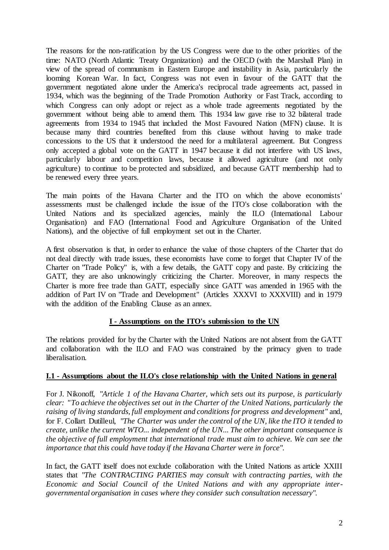The reasons for the non-ratification by the US Congress were due to the other priorities of the time: NATO (North Atlantic Treaty Organization) and the OECD (with the Marshall Plan) in view of the spread of communism in Eastern Europe and instability in Asia, particularly the looming Korean War. In fact, Congress was not even in favour of the GATT that the government negotiated alone under the America's reciprocal trade agreements act, passed in 1934, which was the beginning of the Trade Promotion Authority or Fast Track, according to which Congress can only adopt or reject as a whole trade agreements negotiated by the government without being able to amend them. This 1934 law gave rise to 32 bilateral trade agreements from 1934 to 1945 that included the Most Favoured Nation (MFN) clause. It is because many third countries benefited from this clause without having to make trade concessions to the US that it understood the need for a multilateral agreement. But Congress only accepted a global vote on the GATT in 1947 because it did not interfere with US laws, particularly labour and competition laws, because it allowed agriculture (and not only agriculture) to continue to be protected and subsidized, and because GATT membership had to be renewed every three years.

The main points of the Havana Charter and the ITO on which the above economists' assessments must be challenged include the issue of the ITO's close collaboration with the United Nations and its specialized agencies, mainly the ILO (International Labour Organisation) and FAO (International Food and Agriculture Organisation of the United Nations), and the objective of full employment set out in the Charter.

A first observation is that, in order to enhance the value of those chapters of the Charter that do not deal directly with trade issues, these economists have come to forget that Chapter IV of the Charter on "Trade Policy" is, with a few details, the GATT copy and paste. By criticizing the GATT, they are also unknowingly criticizing the Charter. Moreover, in many respects the Charter is more free trade than GATT, especially since GATT was amended in 1965 with the addition of Part IV on "Trade and Development" (Articles XXXVI to XXXVIII) and in 1979 with the addition of the Enabling Clause as an annex.

## **I - Assumptions on the ITO's submission to the UN**

The relations provided for by the Charter with the United Nations are not absent from the GATT and collaboration with the ILO and FAO was constrained by the primacy given to trade liberalisation.

## **I.1 - Assumptions about the ILO's close relationship with the United Nations in general**

For J. Nikonoff, "*Article 1 of the Havana Charter, which sets out its purpose, is particularly clear: "To achieve the objectives set out in the Charter of the United Nations, particularly the raising of living standards, full employment and conditions for progress and development*" and, for F. Collart Dutilleul, "*The Charter was under the control of the UN, like the ITO it tended to create, unlike the current WTO... independent of the UN... The other important consequence is the objective of full employment that international trade must aim to achieve. We can see the importance that this could have today if the Havana Charter were in force*".

In fact, the GATT itself does not exclude collaboration with the United Nations as article XXIII states that "*The CONTRACTING PARTIES may consult with contracting parties, with the Economic and Social Council of the United Nations and with any appropriate intergovernmental organisation in cases where they consider such consultation necessary*".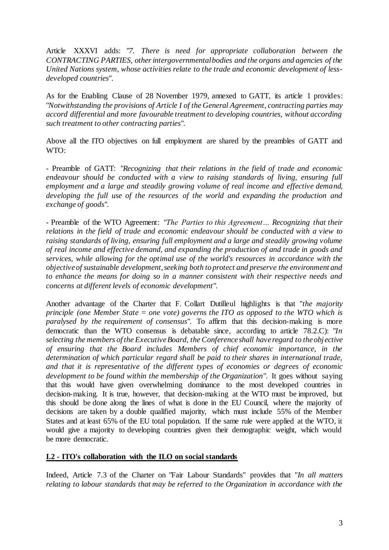Article XXXVI adds: "*7. There is need for appropriate collaboration between the CONTRACTING PARTIES, other intergovernmental bodies and the organs and agencies of the United Nations system, whose activities relate to the trade and economic development of lessdeveloped countries*".

As for the Enabling Clause of 28 November 1979, annexed to GATT, its article 1 provides: "*Notwithstanding the provisions of Article I of the General Agreement, contracting parties may accord differential and more favourable treatment to developing countries, without according such treatment to other contracting parties*".

Above all the ITO objectives on full employment are shared by the preambles of GATT and WTO:

- Preamble of GATT: "*Recognizing that their relations in the field of trade and economic endeavour should be conducted with a view to raising standards of living, ensuring full employment and a large and steadily growing volume of real income and effective demand, developing the full use of the resources of the world and expanding the production and exchange of goods*".

- Preamble of the WTO Agreement: "*The Parties to this Agreement… Recognizing that their relations in the field of trade and economic endeavour should be conducted with a view to raising standards of living, ensuring full employment and a large and steadily growing volume of real income and effective demand, and expanding the production of and trade in goods and services, while allowing for the optimal use of the world's resources in accordance with the objective of sustainable development, seeking both to protect and preserve the environment and to enhance the means for doing so in a manner consistent with their respective needs and concerns at different levels of economic development*".

Another advantage of the Charter that F. Collart Dutilleul highlights is that "*the majority principle (one Member State = one vote) governs the ITO as opposed to the WTO which is paralysed by the requirement of consensus*". To affirm that this decision-making is more democratic than the WTO consensus is debatable since, according to article 78.2.C): "*In selecting the members of the Executive Board, the Conference shall have regard to the objective of ensuring that the Board includes Members of chief economic importance, in the determination of which particular regard shall be paid to their shares in international trade, and that it is representative of the different types of economies or degrees of economic development to be found within the membership of the Organization*". It goes without saying that this would have given overwhelming dominance to the most developed countries in decision-making. It is true, however, that decision-making at the WTO must be improved, but this should be done along the lines of what is done in the EU Council, where the majority of decisions are taken by a double qualified majority, which must include 55% of the Member States and at least 65% of the EU total population. If the same rule were applied at the WTO, it would give a majority to developing countries given their demographic weight, which would be more democratic.

## **I.2 - ITO's collaboration with the ILO on social standards**

Indeed, Article 7.3 of the Charter on "Fair Labour Standards" provides that "*In all matters relating to labour standards that may be referred to the Organization in accordance with the*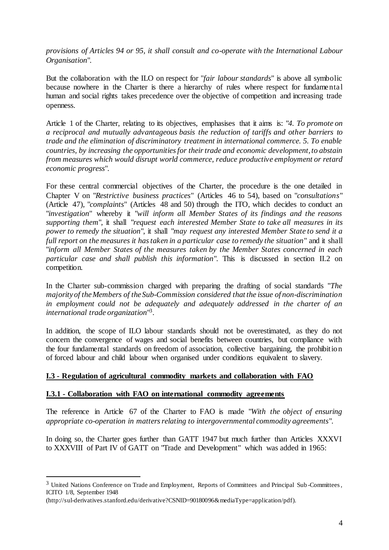*provisions of Articles 94 or 95, it shall consult and co-operate with the International Labour Organisation*".

But the collaboration with the ILO on respect for "*fair labour standards*" is above all symbolic because nowhere in the Charter is there a hierarchy of rules where respect for fundamental human and social rights takes precedence over the objective of competition and increasing trade openness.

Article 1 of the Charter, relating to its objectives, emphasises that it aims is: "*4. To promote on a reciprocal and mutually advantageous basis the reduction of tariffs and other barriers to trade and the elimination of discriminatory treatment in international commerce. 5. To enable countries, by increasing the opportunities for their trade and economic development, to abstain from measures which would disrupt world commerce, reduce productive employment or retard economic progress*".

For these central commercial objectives of the Charter, the procedure is the one detailed in Chapter V on "*Restrictive business practices*" (Articles 46 to 54), based on "*consultations*" (Article 47), "*complaints*" (Articles 48 and 50) through the ITO, which decides to conduct an "*investigation*" whereby it "*will inform all Member States of its findings and the reasons supporting them*", it shall "*request each interested Member State to take all measures in its power to remedy the situation*", it shall "*may request any interested Member State to send it a full report on the measures it has taken in a particular case to remedy the situation*" and it shall "*inform all Member States of the measures taken by the Member States concerned in each particular case and shall publish this information*". This is discussed in section II.2 on competition.

In the Charter sub-commission charged with preparing the drafting of social standards "*The majority of the Members of the Sub-Commission considered that the issue of non-discrimination in employment could not be adequately and adequately addressed in the charter of an international trade organization*" 3 .

In addition, the scope of ILO labour standards should not be overestimated, as they do not concern the convergence of wages and social benefits between countries, but compliance with the four fundamental standards on freedom of association, collective bargaining, the prohibition of forced labour and child labour when organised under conditions equivalent to slavery.

## **I.3 - Regulation of agricultural commodity markets and collaboration with FAO**

## **I.3.1 - Collaboration with FAO on international commodity agreements**

The reference in Article 67 of the Charter to FAO is made "*With the object of ensuring appropriate co-operation in matters relating to intergovernmental commodity agreements*".

In doing so, the Charter goes further than GATT 1947 but much further than Articles XXXVI to XXXVIII of Part IV of GATT on "Trade and Development" which was added in 1965:

 $\overline{a}$ 

<sup>&</sup>lt;sup>3</sup> United Nations Conference on Trade and Employment, Reports of Committees and Principal Sub-Committees, ICITO 1/8, September 1948

[<sup>\(</sup>http://sul-derivatives.stanford.edu/derivative?CSNID=90180096&mediaType=application/pdf\).](http://sul-derivatives.stanford.edu/derivative?CSNID=90180096&mediaType=application/pdf)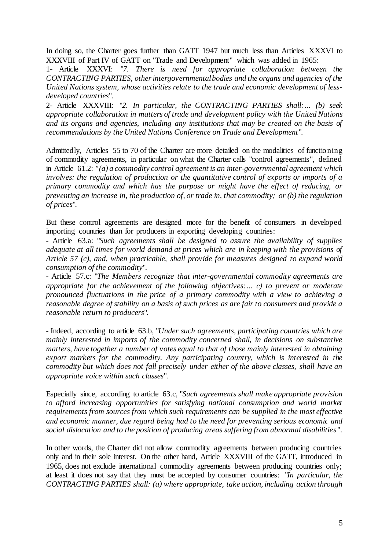In doing so, the Charter goes further than GATT 1947 but much less than Articles XXXVI to XXXVIII of Part IV of GATT on "Trade and Development" which was added in 1965:

1- Article XXXVI: "*7. There is need for appropriate collaboration between the CONTRACTING PARTIES, other intergovernmental bodies and the organs and agencies of the United Nations system, whose activities relate to the trade and economic development of lessdeveloped countries*".

2- Article XXXVIII: "*2. In particular, the CONTRACTING PARTIES shall:… (b) seek appropriate collaboration in matters of trade and development policy with the United Nations and its organs and agencies, including any institutions that may be created on the basis of recommendations by the United Nations Conference on Trade and Development*".

Admittedly, Articles 55 to 70 of the Charter are more detailed on the modalities of functioning of commodity agreements, in particular on what the Charter calls "control agreements", defined in Article 61.2: *"(a) a commodity control agreement is an inter-governmental agreement which involves: the regulation of production or the quantitative control of exports or imports of a primary commodity and which has the purpose or might have the effect of reducing, or preventing an increase in, the production of, or trade in, that commodity; or (b) the regulation of prices*".

But these control agreements are designed more for the benefit of consumers in developed importing countries than for producers in exporting developing countries:

- Article 63.a: "*Such agreements shall be designed to assure the availability of supplies adequate at all times for world demand at prices which are in keeping with the provisions of Article 57 (c), and, when practicable, shall provide for measures designed to expand world consumption of the commodity*".

- Article 57.c: "*The Members recognize that inter-governmental commodity agreements are appropriate for the achievement of the following objectives:… c) to prevent or moderate pronounced fluctuations in the price of a primary commodity with a view to achieving a reasonable degree of stability on a basis of such prices as are fair to consumers and provide a reasonable return to producers*".

- Indeed, according to article 63.b, "*Under such agreements, participating countries which are mainly interested in imports of the commodity concerned shall, in decisions on substantive matters, have together a number of votes equal to that of those mainly interested in obtaining export markets for the commodity. Any participating country, which is interested in the commodity but which does not fall precisely under either of the above classes, shall have an appropriate voice within such classes*".

Especially since, according to article 63.c, "*Such agreements shall make appropriate provision*  to afford increasing opportunities for satisfying national consumption and world market *requirements from sources from which such requirements can be supplied in the most effective and economic manner, due regard being had to the need for preventing serious economic and social dislocation and to the position of producing areas suffering from abnormal disabilities* ".

In other words, the Charter did not allow commodity agreements between producing countries only and in their sole interest. On the other hand, Article XXXVIII of the GATT, introduced in 1965, does not exclude international commodity agreements between producing countries only; at least it does not say that they must be accepted by consumer countries: "*In particular, the CONTRACTING PARTIES shall: (a) where appropriate, take action, including action through*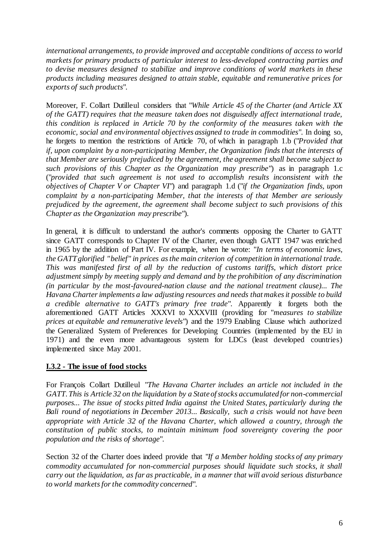*international arrangements, to provide improved and acceptable conditions of access to world markets for primary products of particular interest to less-developed contracting parties and to devise measures designed to stabilize and improve conditions of world markets in these products including measures designed to attain stable, equitable and remunerative prices for exports of such products*".

Moreover, F. Collart Dutilleul considers that "*While Article 45 of the Charter (and Article XX of the GATT) requires that the measure taken does not disguisedly affect international trade, this condition is replaced in Article 70 by the conformity of the measures taken with the economic, social and environmental objectives assigned to trade in commodities*". In doing so, he forgets to mention the restrictions of Article 70, of which in paragraph 1.b ("*Provided that if, upon complaint by a non-participating Member, the Organization finds that the interests of that Member are seriously prejudiced by the agreement, the agreement shall become subject to such provisions of this Chapter as the Organization may prescribe*") as in paragraph 1.c ("*provided that such agreement is not used to accomplish results inconsistent with the objectives of Chapter V or Chapter VI*") and paragraph 1.d ("*if the Organization finds, upon complaint by a non-participating Member, that the interests of that Member are seriously prejudiced by the agreement, the agreement shall become subject to such provisions of this Chapter as the Organization may prescribe*").

In general, it is difficult to understand the author's comments opposing the Charter to GATT since GATT corresponds to Chapter IV of the Charter, even though GATT 1947 was enriched in 1965 by the addition of Part IV. For example, when he wrote: "*In terms of economic laws, the GATT glorified "belief" in prices as the main criterion of competition in international trade. This was manifested first of all by the reduction of customs tariffs, which distort price adjustment simply by meeting supply and demand and by the prohibition of any discrimination (in particular by the most-favoured-nation clause and the national treatment clause)... The Havana Charter implements a law adjusting resources and needs that makes it possible to build a credible alternative to GATT's primary free trade*". Apparently it forgets both the aforementioned GATT Articles XXXVI to XXXVIII (providing for "*measures to stabilize prices at equitable and remunerative levels*") and the 1979 Enabling Clause which authorized the Generalized System of Preferences for Developing Countries (implemented by the EU in 1971) and the even more advantageous system for LDCs (least developed countries) implemented since May 2001.

## **I.3.2 - The issue of food stocks**

For François Collart Dutilleul "*The Havana Charter includes an article not included in the GATT. This is Article 32 on the liquidation by a State of stocks accumulated for non-commercial purposes... The issue of stocks pitted India against the United States, particularly during the Bali round of negotiations in December 2013... Basically, such a crisis would not have been appropriate with Article 32 of the Havana Charter, which allowed a country, through the constitution of public stocks, to maintain minimum food sovereignty covering the poor population and the risks of shortage*".

Section 32 of the Charter does indeed provide that "*If a Member holding stocks of any primary commodity accumulated for non-commercial purposes should liquidate such stocks, it shall carry out the liquidation, as far as practicable, in a manner that will avoid serious disturbance to world markets for the commodity concerned*".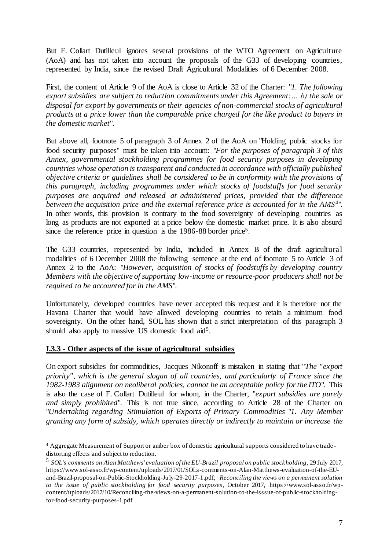But F. Collart Dutilleul ignores several provisions of the WTO Agreement on Agriculture (AoA) and has not taken into account the proposals of the G33 of developing countries, represented by India, since the revised Draft Agricultural Modalities of 6 December 2008.

First, the content of Article 9 of the AoA is close to Article 32 of the Charter: "*1. The following export subsidies are subject to reduction commitments under this Agreement:… b) the sale or disposal for export by governments or their agencies of non-commercial stocks of agricultural products at a price lower than the comparable price charged for the like product to buyers in the domestic market*".

But above all, footnote 5 of paragraph 3 of Annex 2 of the AoA on "Holding public stocks for food security purposes" must be taken into account: "*For the purposes of paragraph 3 of this Annex, governmental stockholding programmes for food security purposes in developing countries whose operation is transparent and conducted in accordance with officially published objective criteria or guidelines shall be considered to be in conformity with the provisions of this paragraph, including programmes under which stocks of foodstuffs for food security purposes are acquired and released at administered prices, provided that the difference*  between the acquisition price and the external reference price is accounted for in the AMS<sup>4</sup>". In other words, this provision is contrary to the food sovereignty of developing countries as long as products are not exported at a price below the domestic market price. It is also absurd since the reference price in question is the 1986-88 border price<sup>5</sup>.

The G33 countries, represented by India, included in Annex B of the draft agricultural modalities of 6 December 2008 the following sentence at the end of footnote 5 to Article 3 of Annex 2 to the AoA: "*However, acquisition of stocks of foodstuffs by developing country Members with the objective of supporting low-income or resource-poor producers shall not be required to be accounted for in the AMS*".

Unfortunately, developed countries have never accepted this request and it is therefore not the Havana Charter that would have allowed developing countries to retain a minimum food sovereignty. On the other hand, SOL has shown that a strict interpretation of this paragraph 3 should also apply to massive US domestic food aid<sup>5</sup>.

## **I.3.3 - Other aspects of the issue of agricultural subsidies**

On export subsidies for commodities, Jacques Nikonoff is mistaken in stating that "*The "export priority", which is the general slogan of all countries, and particularly of France since the 1982-1983 alignment on neoliberal policies, cannot be an acceptable policy for the ITO*". This is also the case of F. Collart Dutilleul for whom, in the Charter, "*export subsidies are purely and simply prohibited*". This is not true since, according to Article 28 of the Charter on "*Undertaking regarding Stimulation of Exports of Primary Commodities* "*1. Any Member granting any form of subsidy, which operates directly or indirectly to maintain or increase the* 

 $\overline{a}$ <sup>4</sup> Aggregate Measurement of Support or amber box of domestic agricultural supports considered to have trade distorting effects and subject to reduction.

<sup>5</sup> *SOL's comments on Alan Matthews' evaluation of the EU-Brazil proposal on public stockholding*, 29 July 2017, https://www.sol-asso.fr/wp-content/uploads/2017/01/SOLs-comments-on-Alan-Matthews-evaluation-of-the-EUand-Brazil-proposal-on-Public-Stockholding-July-29-2017-1.pdf; *Reconciling the views on a permanent solution to the issue of public stockholding for food security purposes*, October 2017, https://www.sol-asso.fr/wpcontent/uploads/2017/10/Reconciling-the-views-on-a-permanent-solution-to-the-isssue-of-public-stockholdingfor-food-security-purposes-1.pdf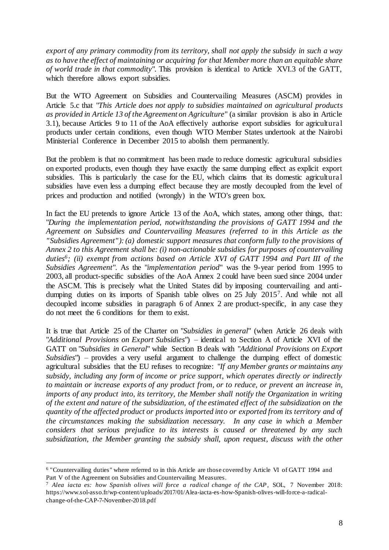*export of any primary commodity from its territory, shall not apply the subsidy in such a way as to have the effect of maintaining or acquiring for that Member more than an equitable share of world trade in that commodity*". This provision is identical to Article XVI.3 of the GATT, which therefore allows export subsidies.

But the WTO Agreement on Subsidies and Countervailing Measures (ASCM) provides in Article 5.c that "*This Article does not apply to subsidies maintained on agricultural products as provided in Article 13 of the Agreement on Agriculture*" (a similar provision is also in Article 3.1), because Articles 9 to 11 of the AoA effectively authorise export subsidies for agricultural products under certain conditions, even though WTO Member States undertook at the Nairobi Ministerial Conference in December 2015 to abolish them permanently.

But the problem is that no commitment has been made to reduce domestic agricultural subsidies on exported products, even though they have exactly the same dumping effect as explicit export subsidies. This is particularly the case for the EU, which claims that its domestic agricultural subsidies have even less a dumping effect because they are mostly decoupled from the level of prices and production and notified (wrongly) in the WTO's green box.

In fact the EU pretends to ignore Article 13 of the AoA, which states, among other things, that: "*During the implementation period, notwithstanding the provisions of GATT 1994 and the Agreement on Subsidies and Countervailing Measures (referred to in this Article as the "Subsidies Agreement"): (a) domestic support measures that conform fully to the provisions of Annex 2 to this Agreement shall be: (i) non-actionable subsidies for purposes of countervailing duties<sup>6</sup> ; (ii) exempt from actions based on Article XVI of GATT 1994 and Part III of the Subsidies Agreement*". As the "*implementation period*" was the 9-year period from 1995 to 2003, all product-specific subsidies of the AoA Annex 2 could have been sued since 2004 under the ASCM. This is precisely what the United States did by imposing countervailing and antidumping duties on its imports of Spanish table olives on 25 July 2015<sup>7</sup> . And while not all decoupled income subsidies in paragraph 6 of Annex 2 are product-specific, in any case they do not meet the 6 conditions for them to exist.

It is true that Article 25 of the Charter on "*Subsidies in general*" (when Article 26 deals with "*Additional Provisions on Export Subsidies*") – identical to Section A of Article XVI of the GATT on "*Subsidies in General*" while Section B deals with "*Additional Provisions on Export Subsidies*") – provides a very useful argument to challenge the dumping effect of domestic agricultural subsidies that the EU refuses to recognize: "*If any Member grants or maintains any subsidy, including any form of income or price support, which operates directly or indirectly to maintain or increase exports of any product from, or to reduce, or prevent an increase in, imports of any product into, its territory, the Member shall notify the Organization in writing of the extent and nature of the subsidization, of the estimated effect of the subsidization on the quantity of the affected product or products imported into or exported from its territory and of the circumstances making the subsidization necessary. In any case in which a Member considers that serious prejudice to its interests is caused or threatened by any such subsidization, the Member granting the subsidy shall, upon request, discuss with the other* 

 $\overline{a}$ 6 "Countervailing duties" where referred to in this Article are those covered by Article VI of GATT 1994 and Part V of the Agreement on Subsidies and Countervailing Measures.

<sup>7</sup> *Alea iacta es: how Spanish olives will force a radical change of the CAP*, SOL, 7 November 2018: https://www.sol-asso.fr/wp-content/uploads/2017/01/Alea-iacta-es-how-Spanish-olives-will-force-a-radicalchange-of-the-CAP-7-November-2018.pdf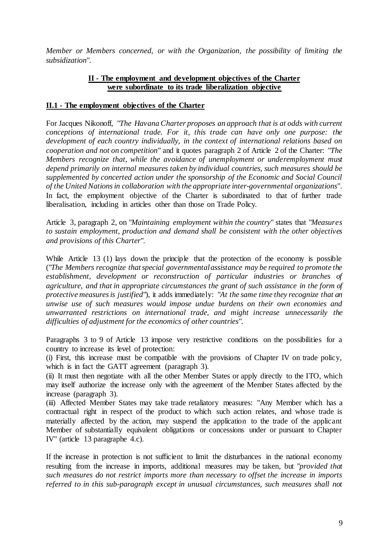*Member or Members concerned, or with the Organization, the possibility of limiting the subsidization*".

#### **II - The employment and development objectives of the Charter were subordinate to its trade liberalization objective**

#### **II.1 - The employment objectives of the Charter**

For Jacques Nikonoff, "*The Havana Charter proposes an approach that is at odds with current conceptions of international trade. For it, this trade can have only one purpose: the development of each country individually, in the context of international relations based on cooperation and not on competition*" and it quotes paragraph 2 of Article 2 of the Charter: "*The Members recognize that, while the avoidance of unemployment or underemployment must depend primarily on internal measures taken by individual countries, such measures should be supplemented by concerted action under the sponsorship of the Economic and Social Council of the United Nations in collaboration with the appropriate inter-governmental organizations*". In fact, the employment objective of the Charter is subordinated to that of further trade liberalisation, including in articles other than those on Trade Policy.

Article 3, paragraph 2, on "*Maintaining employment within the country*" states that "*Measures to sustain employment, production and demand shall be consistent with the other objectives and provisions of this Charter*".

While Article 13 (1) lays down the principle that the protection of the economy is possible ("*The Members recognize that special governmental assistance may be required to promote the establishment, development or reconstruction of particular industries or branches of agriculture, and that in appropriate circumstances the grant of such assistance in the form of protective measures is justified*"), it adds immediately: "*At the same time they recognize that an unwise use of such measures would impose undue burdens on their own economies and unwarranted restrictions on international trade, and might increase unnecessarily the difficulties of adjustment for the economics of other countries*".

Paragraphs 3 to 9 of Article 13 impose very restrictive conditions on the possibilities for a country to increase its level of protection:

(i) First, this increase must be compatible with the provisions of Chapter IV on trade policy, which is in fact the GATT agreement (paragraph 3).

(ii) It must then negotiate with all the other Member States or apply directly to the ITO, which may itself authorize the increase only with the agreement of the Member States affected by the increase (paragraph 3).

(iii) Affected Member States may take trade retaliatory measures: "Any Member which has a contractual right in respect of the product to which such action relates, and whose trade is materially affected by the action, may suspend the application to the trade of the applicant Member of substantially equivalent obligations or concessions under or pursuant to Chapter IV" (article 13 paragraphe 4.c).

If the increase in protection is not sufficient to limit the disturbances in the national economy resulting from the increase in imports, additional measures may be taken, but "*provided that such measures do not restrict imports more than necessary to offset the increase in imports referred to in this sub-paragraph except in unusual circumstances, such measures shall not*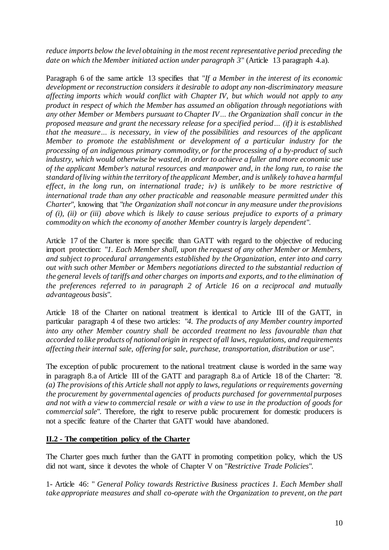*reduce imports below the level obtaining in the most recent representative period preceding the date on which the Member initiated action under paragraph 3*" (Article 13 paragraph 4.a).

Paragraph 6 of the same article 13 specifies that "*If a Member in the interest of its economic development or reconstruction considers it desirable to adopt any non-discriminatory measure affecting imports which would conflict with Chapter IV, but which would not apply to any product in respect of which the Member has assumed an obligation through negotiations with any other Member or Members pursuant to Chapter IV… the Organization shall concur in the proposed measure and grant the necessary release for a specified period… (if) it is established that the measure… is necessary, in view of the possibilities and resources of the applicant Member to promote the establishment or development of a particular industry for the processing of an indigenous primary commodity, or for the processing of a by-product of such industry, which would otherwise be wasted, in order to achieve a fuller and more economic use of the applicant Member's natural resources and manpower and, in the long run, to raise the standard of living within the territory of the applicant Member, and is unlikely to have a harmful effect, in the long run, on international trade; iv) is unlikely to be more restrictive of international trade than any other practicable and reasonable measure permitted under this Charter*", knowing that "*the Organization shall not concur in any measure under the provisions of (i), (ii) or (iii) above which is likely to cause serious prejudice to exports of a primary commodity on which the economy of another Member country is largely dependent*".

Article 17 of the Charter is more specific than GATT with regard to the objective of reducing import protection: "*1. Each Member shall, upon the request of any other Member or Members, and subject to procedural arrangements established by the Organization, enter into and carry out with such other Member or Members negotiations directed to the substantial reduction of the general levels of tariffs and other charges on imports and exports, and to the elimination of the preferences referred to in paragraph 2 of Article 16 on a reciprocal and mutually advantageous basis*".

Article 18 of the Charter on national treatment is identical to Article III of the GATT, in particular paragraph 4 of these two articles: "*4. The products of any Member country imported*  into any other Member country shall be accorded treatment no less favourable than that *accorded to like products of national origin in respect of all laws, regulations, and requirements affecting their internal sale, offering for sale, purchase, transportation, distribution or use*".

The exception of public procurement to the national treatment clause is worded in the same way in paragraph 8.a of Article III of the GATT and paragraph 8.a of Article 18 of the Charter: "*8. (a) The provisions of this Article shall not apply to laws, regulations or requirements governing the procurement by governmental agencies of products purchased for governmental purposes and not with a view to commercial resale or with a view to use in the production of goods for commercial sale*". Therefore, the right to reserve public procurement for domestic producers is not a specific feature of the Charter that GATT would have abandoned.

## **II.2 - The competition policy of the Charter**

The Charter goes much further than the GATT in promoting competition policy, which the US did not want, since it devotes the whole of Chapter V on "*Restrictive Trade Policies*".

1- Article 46: " *General Policy towards Restrictive Business practices 1. Each Member shall take appropriate measures and shall co-operate with the Organization to prevent, on the part*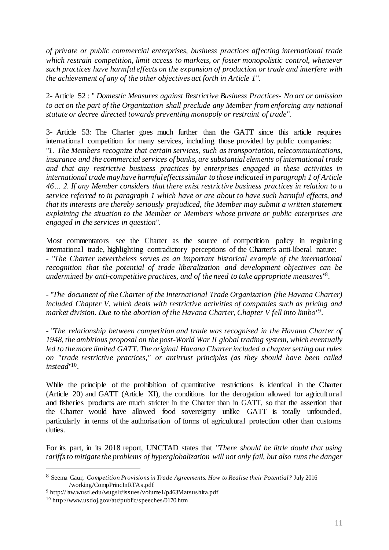*of private or public commercial enterprises, business practices affecting international trade which restrain competition, limit access to markets, or foster monopolistic control, whenever such practices have harmful effects on the expansion of production or trade and interfere with the achievement of any of the other objectives act forth in Article 1*".

2- Article 52 : " *Domestic Measures against Restrictive Business Practices- No act or omission to act on the part of the Organization shall preclude any Member from enforcing any national statute or decree directed towards preventing monopoly or restraint of trade*".

3- Article 53: The Charter goes much further than the GATT since this article requires international competition for many services, including those provided by public companies: "*1. The Members recognize that certain services, such as transportation, telecommunications, insurance and the commercial services of banks, are substantial elements of international trade and that any restrictive business practices by enterprises engaged in these activities in international trade may have harmful effects similar to those indicated in paragraph 1 of Article 46… 2. If any Member considers that there exist restrictive business practices in relation to a service referred to in paragraph 1 which have or are about to have such harmful effects, and that its interests are thereby seriously prejudiced, the Member may submit a written statement explaining the situation to the Member or Members whose private or public enterprises are engaged in the services in question*".

Most commentators see the Charter as the source of competition policy in regulating international trade, highlighting contradictory perceptions of the Charter's anti-liberal nature: - "*The Charter nevertheless serves as an important historical example of the international recognition that the potential of trade liberalization and development objectives can be undermined by anti-competitive practices, and of the need to take appropriate measures*" 8 .

- "*The document of the Charter of the International Trade Organization (the Havana Charter) included Chapter V, which deals with restrictive activities of companies such as pricing and*  market division. Due to the abortion of the Havana Charter, Chapter V fell into limbo<sup>19</sup>.

- "*The relationship between competition and trade was recognised in the Havana Charter of 1948, the ambitious proposal on the post-World War II global trading system, which eventually led to the more limited GATT. The original Havana Charter included a chapter setting out rules on "trade restrictive practices," or antitrust principles (as they should have been called instead*" 10 .

While the principle of the prohibition of quantitative restrictions is identical in the Charter (Article 20) and GATT (Article XI), the conditions for the derogation allowed for agricultural and fisheries products are much stricter in the Charter than in GATT, so that the assertion that the Charter would have allowed food sovereignty unlike GATT is totally unfounded, particularly in terms of the authorisation of forms of agricultural protection other than customs duties.

For its part, in its 2018 report, UNCTAD states that "*There should be little doubt that using tariffs to mitigate the problems of hyperglobalization will not only fail, but also runs the danger* 

 $\overline{a}$ 

<sup>8</sup> Seema Gaur, *Competition Provisions in Trade Agreements. How to Realise their Potential?* July 2016 [/working/CompPrincInRTAs.pdf](http://www.evenett.com/working/CompPrincInRTAs.pdf)

<sup>9</sup> <http://law.wustl.edu/wugslr/issues/volume1/p463Matsushita.pdf>

<sup>10</sup> http://www.usdoj.gov/atr/public/speeches/0170.htm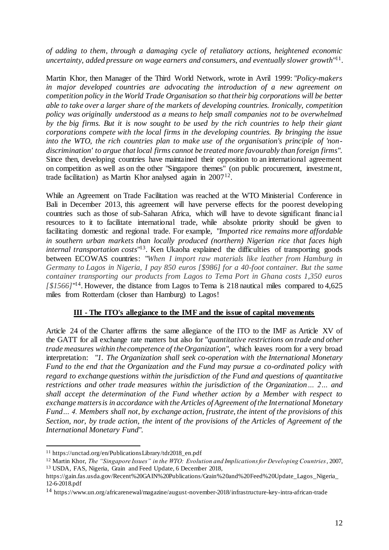*of adding to them, through a damaging cycle of retaliatory actions, heightened economic*  uncertainty, added pressure on wage earners and consumers, and eventually slower growth"<sup>11</sup>.

Martin Khor, then Manager of the Third World Network, wrote in Avril 1999: "*Policy-makers in major developed countries are advocating the introduction of a new agreement on competition policy in the World Trade Organisation so that their big corporations will be better able to take over a larger share of the markets of developing countries. Ironically, competition policy was originally understood as a means to help small companies not to be overwhelmed by the big firms. But it is now sought to be used by the rich countries to help their giant corporations compete with the local firms in the developing countries. By bringing the issue into the WTO, the rich countries plan to make use of the organisation's principle of 'nondiscrimination' to argue that local firms cannot be treated more favourably than foreign firms*". Since then, developing countries have maintained their opposition to an international agreement on competition as well as on the other "Singapore themes" (on public procurement, investment, trade facilitation) as Martin Khor analysed again in 2007<sup>12</sup>.

While an Agreement on Trade Facilitation was reached at the WTO Ministerial Conference in Bali in December 2013, this agreement will have perverse effects for the poorest developing countries such as those of sub-Saharan Africa, which will have to devote significant financial resources to it to facilitate international trade, while absolute priority should be given to facilitating domestic and regional trade. For example, "*Imported rice remains more affordable in southern urban markets than locally produced (northern) Nigerian rice that faces high internal transportation costs*" 13 . Ken Ukaoha explained the difficulties of transporting goods between ECOWAS countries: "*When I import raw materials like leather from Hamburg in Germany to Lagos in Nigeria, I pay 850 euros [\$986] for a 40-foot container. But the same container transporting our products from Lagos to Tema Port in Ghana costs 1,350 euros*  [ $$1566$ ]<sup>"14</sup>. However, the distance from Lagos to Tema is 218 nautical miles compared to 4,625 miles from Rotterdam (closer than Hamburg) to Lagos!

## **III - The ITO's allegiance to the IMF and the issue of capital movements**

Article 24 of the Charter affirms the same allegiance of the ITO to the IMF as Article XV of the GATT for all exchange rate matters but also for "*quantitative restrictions on trade and other trade measures within the competence of the Organization*", which leaves room for a very broad interpretation: "*1. The Organization shall seek co-operation with the International Monetary Fund to the end that the Organization and the Fund may pursue a co-ordinated policy with regard to exchange questions within the jurisdiction of the Fund and questions of quantitative restrictions and other trade measures within the jurisdiction of the Organization… 2… and shall accept the determination of the Fund whether action by a Member with respect to exchange matters is in accordance with the Articles of Agreement of the International Monetary Fund… 4. Members shall not, by exchange action, frustrate, the intent of the provisions of this Section, nor, by trade action, the intent of the provisions of the Articles of Agreement of the International Monetary Fund*".

 $\overline{a}$ 

<sup>11</sup> [https://unctad.org/en/PublicationsLibrary/tdr2018\\_en.pdf](https://unctad.org/en/PublicationsLibrary/tdr2018_en.pdf)

<sup>12</sup> Martin Khor, *The "Singapore Issues" in the WTO: Evolution and Implications for Developing Countries*, 2007, <sup>13</sup> USDA, FAS, Nigeria, Grain and Feed Update, 6 December 2018,

https://gain.fas.usda.gov/Recent%20GAIN%20Publications/Grain%20and%20Feed%20Update\_Lagos\_Nigeria\_ 12-6-2018.pdf

<sup>14</sup> https://www.un.org/africarenewal/magazine/august-november-2018/infrastructure-key-intra-african-trade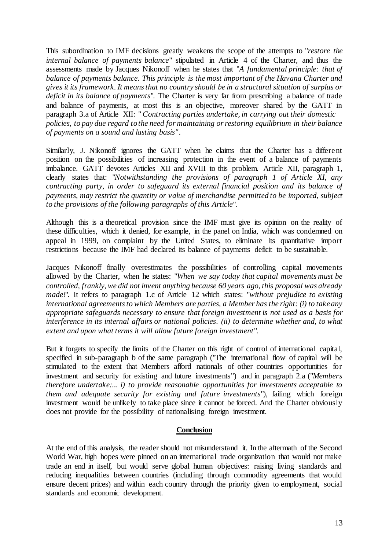This subordination to IMF decisions greatly weakens the scope of the attempts to "*restore the internal balance of payments balance*" stipulated in Article 4 of the Charter, and thus the assessments made by Jacques Nikonoff when he states that "*A fundamental principle: that of balance of payments balance. This principle is the most important of the Havana Charter and gives it its framework. It means that no country should be in a structural situation of surplus or deficit in its balance of payments*". The Charter is very far from prescribing a balance of trade and balance of payments, at most this is an objective, moreover shared by the GATT in paragraph 3.a of Article XII: "*Contracting parties undertake, in carrying out their domestic policies, to pay due regard to the need for maintaining or restoring equilibrium in their balance of payments on a sound and lasting basis".*

Similarly, J. Nikonoff ignores the GATT when he claims that the Charter has a different position on the possibilities of increasing protection in the event of a balance of payments imbalance. GATT devotes Articles XII and XVIII to this problem. Article XII, paragraph 1, clearly states that: "*Notwithstanding the provisions of paragraph 1 of Article XI, any contracting party, in order to safeguard its external financial position and its balance of payments, may restrict the quantity or value of merchandise permitted to be imported, subject to the provisions of the following paragraphs of this Article*".

Although this is a theoretical provision since the IMF must give its opinion on the reality of these difficulties, which it denied, for example, in the panel on India, which was condemned on appeal in 1999, on complaint by the United States, to eliminate its quantitative import restrictions because the IMF had declared its balance of payments deficit to be sustainable.

Jacques Nikonoff finally overestimates the possibilities of controlling capital movements allowed by the Charter, when he states: "*When we say today that capital movements must be controlled, frankly, we did not invent anything because 60 years ago, this proposal was already made!"*. It refers to paragraph 1.c of Article 12 which states: "without prejudice to existing *international agreements to which Members are parties, a Member has the right: (i) to take any appropriate safeguards necessary to ensure that foreign investment is not used as a basis for interference in its internal affairs or national policies. (ii) to determine whether and, to what extent and upon what terms it will allow future foreign investment*".

But it forgets to specify the limits of the Charter on this right of control of international capital, specified in sub-paragraph b of the same paragraph ("The international flow of capital will be stimulated to the extent that Members afford nationals of other countries opportunities for investment and security for existing and future investments") and in paragraph 2.a ("*Members therefore undertake:... i) to provide reasonable opportunities for investments acceptable to them and adequate security for existing and future investments*"), failing which foreign investment would be unlikely to take place since it cannot be forced. And the Charter obviously does not provide for the possibility of nationalising foreign investment.

#### **Conclusion**

At the end of this analysis, the reader should not misunderstand it. In the aftermath of the Second World War, high hopes were pinned on an international trade organization that would not make trade an end in itself, but would serve global human objectives: raising living standards and reducing inequalities between countries (including through commodity agreements that would ensure decent prices) and within each country through the priority given to employment, social standards and economic development.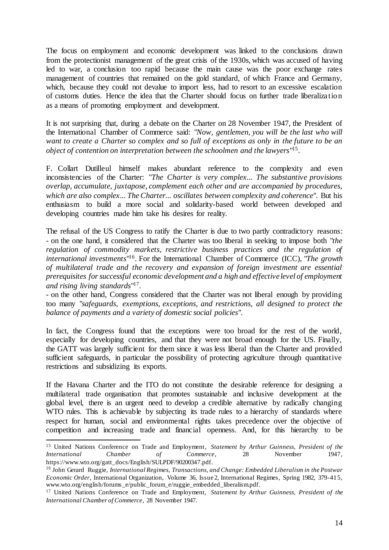The focus on employment and economic development was linked to the conclusions drawn from the protectionist management of the great crisis of the 1930s, which was accused of having led to war, a conclusion too rapid because the main cause was the poor exchange rates management of countries that remained on the gold standard, of which France and Germany, which, because they could not devalue to import less, had to resort to an excessive escalation of customs duties. Hence the idea that the Charter should focus on further trade liberalization as a means of promoting employment and development.

It is not surprising that, during a debate on the Charter on 28 November 1947, the President of the International Chamber of Commerce said: "*Now, gentlemen, you will be the last who will want to create a Charter so complex and so full of exceptions as only in the future to be an object of contention on interpretation between the schoolmen and the lawyers*" 15 .

F. Collart Dutilleul himself makes abundant reference to the complexity and even inconsistencies of the Charter: "*The Charter is very complex... The substantive provisions overlap, accumulate, juxtapose, complement each other and are accompanied by procedures, which are also complex... The Charter... oscillates between complexity and coherence*". But his enthusiasm to build a more social and solidarity-based world between developed and developing countries made him take his desires for reality.

The refusal of the US Congress to ratify the Charter is due to two partly contradictory reasons: - on the one hand, it considered that the Charter was too liberal in seeking to impose both "*the regulation of commodity markets, restrictive business practices and the regulation of international investments*" 16 . For the International Chamber of Commerce (ICC), "*The growth of multilateral trade and the recovery and expansion of foreign investment are essential prerequisites for successful economic development and a high and effective level of employment and rising living standards*" 17 .

- on the other hand, Congress considered that the Charter was not liberal enough by providing too many "*safeguards, exemptions, exceptions, and restrictions, all designed to protect the balance of payments and a variety of domestic social policies*".

In fact, the Congress found that the exceptions were too broad for the rest of the world, especially for developing countries, and that they were not broad enough for the US. Finally, the GATT was largely sufficient for them since it was less liberal than the Charter and provided sufficient safeguards, in particular the possibility of protecting agriculture through quantitative restrictions and subsidizing its exports.

If the Havana Charter and the ITO do not constitute the desirable reference for designing a multilateral trade organisation that promotes sustainable and inclusive development at the global level, there is an urgent need to develop a credible alternative by radically changing WTO rules. This is achievable by subjecting its trade rules to a hierarchy of standards where respect for human, social and environmental rights takes precedence over the objective of competition and increasing trade and financial openness. And, for this hierarchy to be

 $\overline{a}$ <sup>15</sup> United Nations Conference on Trade and Employment, *Statement by Arthur Guinness, President of the International Chamber of Commerce*, 28 November 1947, https://www.wto.org/gatt\_docs/English/SULPDF/90200347.pdf.

<sup>16</sup> John Gerard Ruggie, *International Regimes, Transactions, and Change: Embedded Liberalism in the Postwar Economic Order*, International Organization, Volume 36, Issue 2, International Regimes, Spring 1982, 379-415, www.wto.org/english/forums\_e/public\_forum\_e/ruggie\_embedded\_liberalism.pdf.

<sup>17</sup> United Nations Conference on Trade and Employment, *Statement by Arthur Guinness, President of the International Chamber of Commerce*, 28 November 1947.